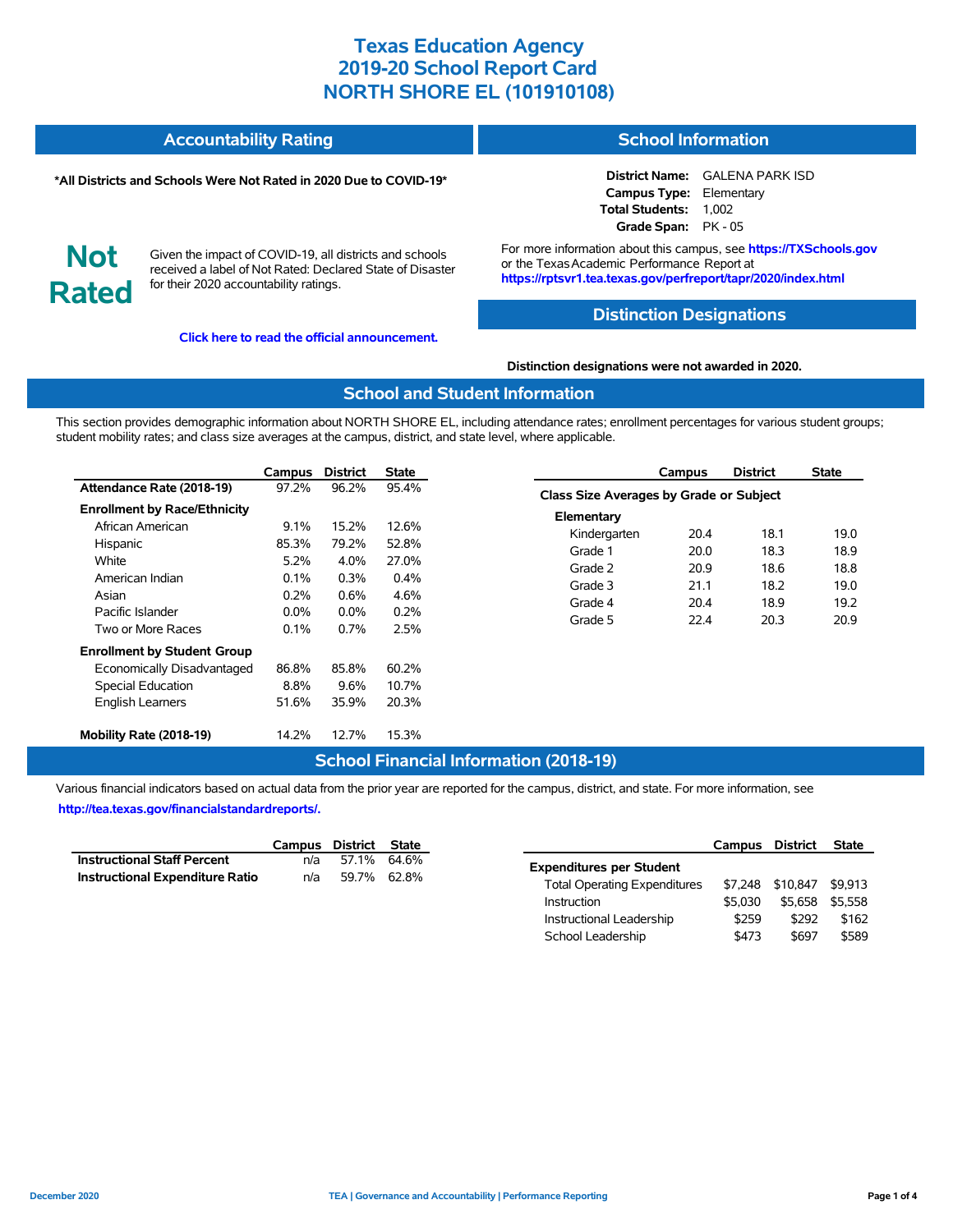#### **Accountability Rating School Information**

#### **\*All Districts and Schools Were Not Rated in 2020 Due to COVID-19\***

# **Not Rated**

Given the impact of COVID-19, all districts and schools received a label of Not Rated: Declared State of Disaster for their 2020 accountability ratings.

**[Click here to read the official announcement.](https://tea.texas.gov/about-tea/news-and-multimedia/correspondence/taa-letters/every-student-succeeds-act-essa-waiver-approval-2020-state-academic-accountability)**

**District Name:** GALENA PARK ISD **Campus Type:** Elementary **Total Students:** 1,002 **Grade Span:** PK - 05

For more information about this campus, see **https://TXSchools.gov** or the TexasAcademic Performance Report at **https://rptsvr1.tea.texas.gov/perfreport/tapr/2020/index.html**

## **Distinction Designations**

#### **Distinction designations were not awarded in 2020.**

#### **School and Student Information**

This section provides demographic information about NORTH SHORE EL, including attendance rates; enrollment percentages for various student groups; student mobility rates; and class size averages at the campus, district, and state level, where applicable.

|                                     | Campus  | <b>District</b> | <b>State</b> |
|-------------------------------------|---------|-----------------|--------------|
| Attendance Rate (2018-19)           | 97.2%   | 96.2%           | 95.4%        |
| <b>Enrollment by Race/Ethnicity</b> |         |                 |              |
| African American                    | $9.1\%$ | 15.2%           | 12.6%        |
| Hispanic                            | 85.3%   | 79.2%           | 52.8%        |
| White                               | 5.2%    | $4.0\%$         | 27.0%        |
| American Indian                     | 0.1%    | $0.3\%$         | $0.4\%$      |
| Asian                               | 0.2%    | $0.6\%$         | 4.6%         |
| Pacific Islander                    | $0.0\%$ | $0.0\%$         | 0.2%         |
| Two or More Races                   | 0.1%    | 0.7%            | 2.5%         |
| <b>Enrollment by Student Group</b>  |         |                 |              |
| Economically Disadvantaged          | 86.8%   | 85.8%           | 60.2%        |
| Special Education                   | 8.8%    | 9.6%            | 10.7%        |
| <b>English Learners</b>             | 51.6%   | 35.9%           | 20.3%        |
| Mobility Rate (2018-19)             | 14.2%   | 12.7%           | 15.3%        |

#### **Campus District State Class Size Averages by Grade or Subject Elementary** Kindergarten 20.4 18.1 19.0 Grade 1 20.0 18.3 18.9 Grade 2 20.9 18.6 18.8 Grade 3 21.1 18.2 19.0 Grade 4 20.4 18.9 19.2 Grade 5 22.4 20.3 20.9

## **School Financial Information (2018-19)**

Various financial indicators based on actual data from the prior year are reported for the campus, district, and state. For more information, see **[http://tea.texas.gov/financialstandardreports/.](http://tea.texas.gov/financialstandardreports/)**

|                                        | Campus District State |             |  |
|----------------------------------------|-----------------------|-------------|--|
| <b>Instructional Staff Percent</b>     | n/a                   | 57.1% 64.6% |  |
| <b>Instructional Expenditure Ratio</b> | n/a                   | 59.7% 62.8% |  |

|                                     | Campus  | District | <b>State</b> |
|-------------------------------------|---------|----------|--------------|
| <b>Expenditures per Student</b>     |         |          |              |
| <b>Total Operating Expenditures</b> | \$7.248 | \$10,847 | \$9.913      |
| Instruction                         | \$5.030 | \$5.658  | \$5.558      |
| Instructional Leadership            | \$259   | \$292    | \$162        |
| School Leadership                   | \$473   | \$697    | \$589        |

Ĭ.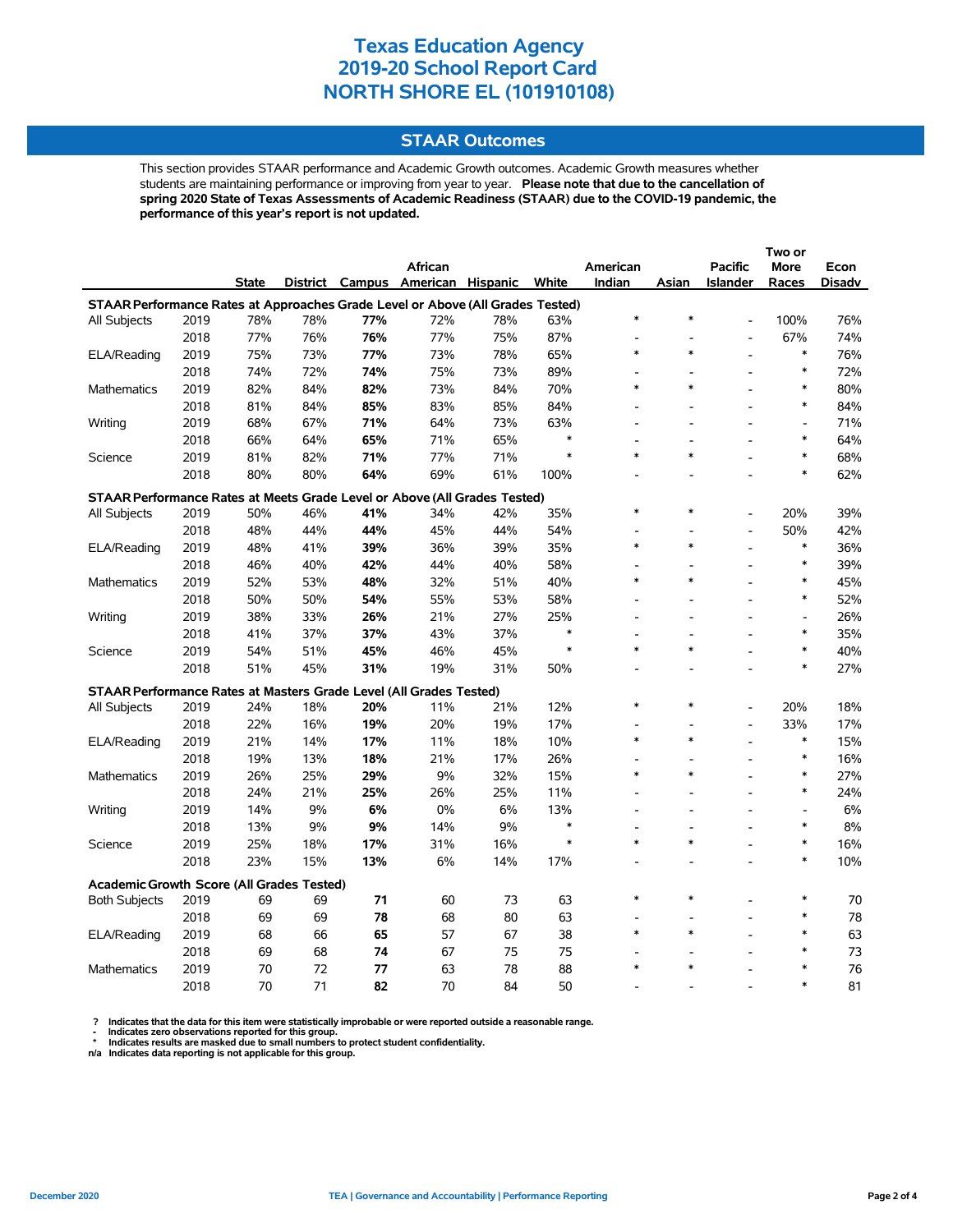#### **STAAR Outcomes**

This section provides STAAR performance and Academic Growth outcomes. Academic Growth measures whether students are maintaining performance or improving from year to year. **Please note that due to the cancellation of spring 2020 State of Texas Assessments of Academic Readiness (STAAR) due to the COVID-19 pandemic, the performance of this year's report is not updated.**

|                                                                                |      |              |     |     | <b>African</b>                    |     |               | American                 |        | <b>Pacific</b>           | More                                   | Econ   |
|--------------------------------------------------------------------------------|------|--------------|-----|-----|-----------------------------------|-----|---------------|--------------------------|--------|--------------------------|----------------------------------------|--------|
|                                                                                |      | <b>State</b> |     |     | District Campus American Hispanic |     | White         | Indian                   | Asian  | <b>Islander</b>          | Races                                  | Disadv |
| STAAR Performance Rates at Approaches Grade Level or Above (All Grades Tested) |      |              |     |     |                                   |     |               |                          |        |                          |                                        |        |
| All Subjects                                                                   | 2019 | 78%          | 78% | 77% | 72%                               | 78% | 63%           | $\ast$                   | $\ast$ |                          | 100%                                   | 76%    |
|                                                                                | 2018 | 77%          | 76% | 76% | 77%                               | 75% | 87%           | $\overline{\phantom{a}}$ |        | $\overline{a}$           | 67%                                    | 74%    |
| ELA/Reading                                                                    | 2019 | 75%          | 73% | 77% | 73%                               | 78% | 65%           | $\ast$                   | $\ast$ |                          | $\ast$                                 | 76%    |
|                                                                                | 2018 | 74%          | 72% | 74% | 75%                               | 73% | 89%           |                          |        |                          | $\ast$                                 | 72%    |
| Mathematics                                                                    | 2019 | 82%          | 84% | 82% | 73%                               | 84% | 70%           | $\ast$                   | *      |                          | $\ast$                                 | 80%    |
|                                                                                | 2018 | 81%          | 84% | 85% | 83%                               | 85% | 84%           |                          |        | $\overline{a}$           | $\ast$                                 | 84%    |
| Writing                                                                        | 2019 | 68%          | 67% | 71% | 64%                               | 73% | 63%           | L,                       |        |                          | $\overline{a}$                         | 71%    |
|                                                                                | 2018 | 66%          | 64% | 65% | 71%                               | 65% | $\ast$        |                          |        |                          | $\ast$                                 | 64%    |
| Science                                                                        | 2019 | 81%          | 82% | 71% | 77%                               | 71% |               | $\ast$                   | $\ast$ |                          | $\ast$                                 | 68%    |
|                                                                                | 2018 | 80%          | 80% | 64% | 69%                               | 61% | 100%          |                          |        |                          | $\ast$                                 | 62%    |
| STAAR Performance Rates at Meets Grade Level or Above (All Grades Tested)      |      |              |     |     |                                   |     |               |                          |        |                          |                                        |        |
| All Subjects                                                                   | 2019 | 50%          | 46% | 41% | 34%                               | 42% | 35%           | $\ast$                   | $\ast$ |                          | 20%                                    | 39%    |
|                                                                                | 2018 | 48%          | 44% | 44% | 45%                               | 44% | 54%           |                          |        | L,                       | 50%                                    | 42%    |
| ELA/Reading                                                                    | 2019 | 48%          | 41% | 39% | 36%                               | 39% | 35%           | $\ast$                   | $\ast$ | L,                       | $\ast$                                 | 36%    |
|                                                                                | 2018 | 46%          | 40% | 42% | 44%                               | 40% | 58%           |                          |        |                          | $\ast$                                 | 39%    |
| Mathematics                                                                    | 2019 | 52%          | 53% | 48% | 32%                               | 51% | 40%           | $\ast$                   | $\ast$ |                          | $\ast$                                 | 45%    |
|                                                                                | 2018 | 50%          | 50% | 54% | 55%                               | 53% | 58%           |                          |        | L,                       | $\ast$                                 | 52%    |
| Writing                                                                        | 2019 | 38%          | 33% | 26% | 21%                               | 27% | 25%           | $\overline{\phantom{a}}$ |        | $\overline{\phantom{a}}$ | $\overline{\phantom{a}}$               | 26%    |
|                                                                                | 2018 | 41%          | 37% | 37% | 43%                               | 37% | $\ast$        |                          |        |                          | $\ast$                                 | 35%    |
| Science                                                                        | 2019 | 54%          | 51% | 45% | 46%                               | 45% | $\ast$        | $\ast$                   | $\ast$ |                          | $\ast$                                 | 40%    |
|                                                                                | 2018 | 51%          | 45% | 31% | 19%                               | 31% | 50%           |                          |        |                          | $\ast$                                 | 27%    |
|                                                                                |      |              |     |     |                                   |     |               |                          |        |                          |                                        |        |
| STAAR Performance Rates at Masters Grade Level (All Grades Tested)             |      |              |     |     |                                   |     |               | $\ast$                   | $\ast$ |                          |                                        |        |
| All Subjects                                                                   | 2019 | 24%          | 18% | 20% | 11%                               | 21% | 12%           |                          |        | $\overline{a}$           | 20%                                    | 18%    |
|                                                                                | 2018 | 22%          | 16% | 19% | 20%                               | 19% | 17%           | $\ast$                   | $\ast$ | $\overline{a}$           | 33%<br>$\ast$                          | 17%    |
| ELA/Reading                                                                    | 2019 | 21%          | 14% | 17% | 11%                               | 18% | 10%           |                          |        | L,                       | $\ast$                                 | 15%    |
|                                                                                | 2018 | 19%          | 13% | 18% | 21%                               | 17% | 26%           | $\overline{a}$<br>$\ast$ | $\ast$ | L,                       | $\ast$                                 | 16%    |
| Mathematics                                                                    | 2019 | 26%          | 25% | 29% | 9%                                | 32% | 15%           |                          |        |                          | $\ast$                                 | 27%    |
|                                                                                | 2018 | 24%          | 21% | 25% | 26%                               | 25% | 11%           | L.                       |        |                          |                                        | 24%    |
| Writing                                                                        | 2019 | 14%          | 9%  | 6%  | 0%                                | 6%  | 13%<br>$\ast$ |                          |        |                          | $\qquad \qquad \blacksquare$<br>$\ast$ | 6%     |
|                                                                                | 2018 | 13%          | 9%  | 9%  | 14%                               | 9%  | $\ast$        | $\ast$                   | *      | $\overline{a}$           | $\ast$                                 | 8%     |
| Science                                                                        | 2019 | 25%          | 18% | 17% | 31%                               | 16% |               |                          |        | $\overline{\phantom{a}}$ | $\ast$                                 | 16%    |
|                                                                                | 2018 | 23%          | 15% | 13% | 6%                                | 14% | 17%           |                          |        | $\overline{a}$           |                                        | 10%    |
| <b>Academic Growth Score (All Grades Tested)</b>                               |      |              |     |     |                                   |     |               |                          |        |                          |                                        |        |
| <b>Both Subjects</b>                                                           | 2019 | 69           | 69  | 71  | 60                                | 73  | 63            | $\ast$                   | $\ast$ |                          | $\ast$                                 | 70     |
|                                                                                | 2018 | 69           | 69  | 78  | 68                                | 80  | 63            |                          |        |                          | $\ast$                                 | 78     |
| ELA/Reading                                                                    | 2019 | 68           | 66  | 65  | 57                                | 67  | 38            | $\ast$                   | $\ast$ |                          | $\ast$                                 | 63     |
|                                                                                | 2018 | 69           | 68  | 74  | 67                                | 75  | 75            |                          |        |                          | $\ast$                                 | 73     |
| <b>Mathematics</b>                                                             | 2019 | 70           | 72  | 77  | 63                                | 78  | 88            | $\ast$                   |        |                          | $\ast$                                 | 76     |
|                                                                                | 2018 | 70           | 71  | 82  | 70                                | 84  | 50            |                          |        |                          | $\ast$                                 | 81     |

? Indicates that the data for this item were statistically improbable or were reported outside a reasonable range.<br>- Indicates zero observations reported for this group.<br>\* Indicates results are masked due to small numbers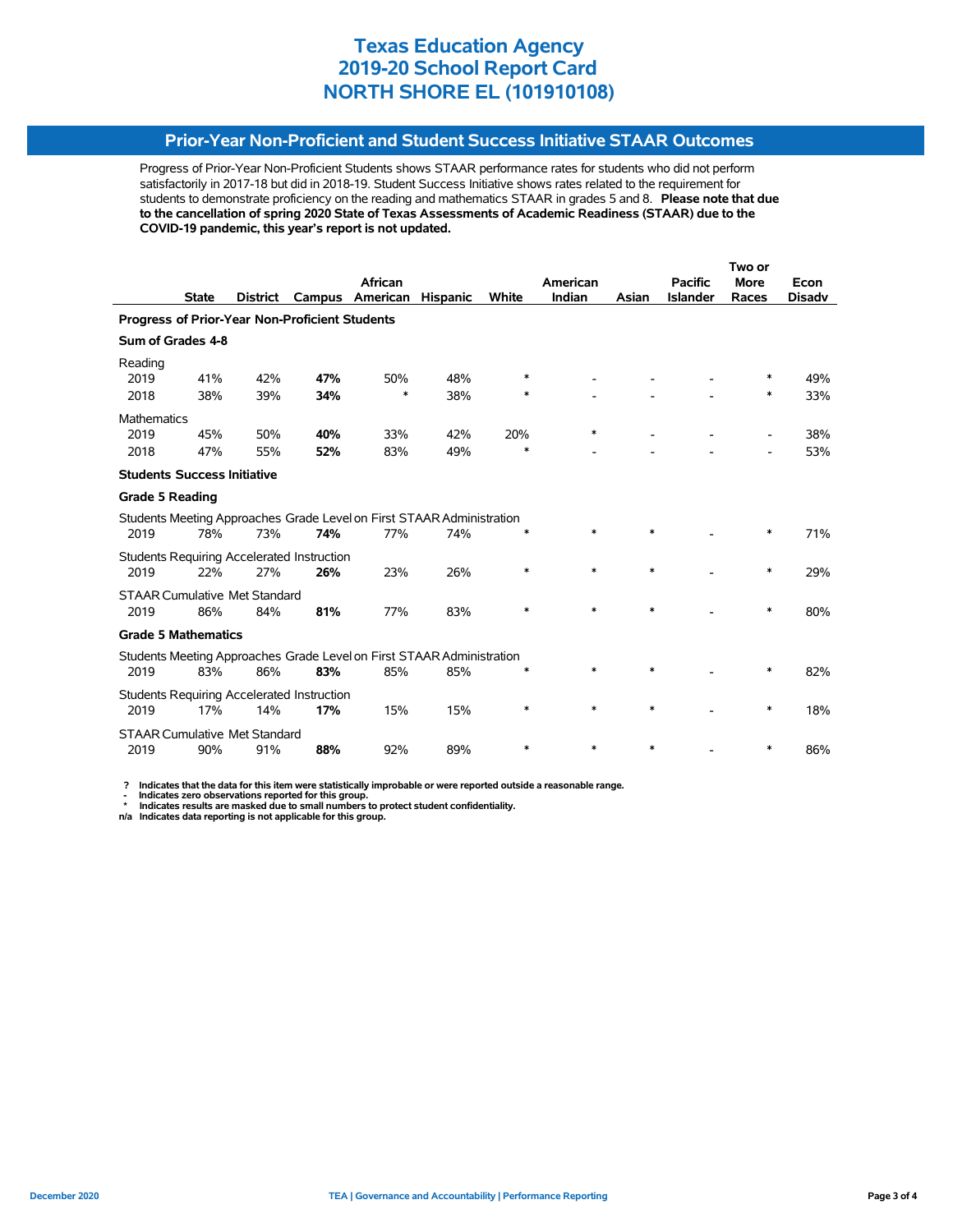## **Prior-Year Non-Proficient and Student Success Initiative STAAR Outcomes**

Progress of Prior-Year Non-Proficient Students shows STAAR performance rates for students who did not perform satisfactorily in 2017-18 but did in 2018-19. Student Success Initiative shows rates related to the requirement for students to demonstrate proficiency on the reading and mathematics STAAR in grades 5 and 8. **Please note that due to the cancellation of spring 2020 State of Texas Assessments of Academic Readiness (STAAR) due to the COVID-19 pandemic, this year's report is not updated.**

|                                                       |                                    |                                      |                                                   |                                                                       |                 |        | Two or   |        |                 |             |               |
|-------------------------------------------------------|------------------------------------|--------------------------------------|---------------------------------------------------|-----------------------------------------------------------------------|-----------------|--------|----------|--------|-----------------|-------------|---------------|
|                                                       |                                    |                                      |                                                   | African                                                               |                 |        | American |        | <b>Pacific</b>  | <b>More</b> | Econ          |
|                                                       | <b>State</b>                       | <b>District</b>                      | Campus                                            | American                                                              | <b>Hispanic</b> | White  | Indian   | Asian  | <b>Islander</b> | Races       | <b>Disadv</b> |
| <b>Progress of Prior-Year Non-Proficient Students</b> |                                    |                                      |                                                   |                                                                       |                 |        |          |        |                 |             |               |
|                                                       | Sum of Grades 4-8                  |                                      |                                                   |                                                                       |                 |        |          |        |                 |             |               |
| Reading                                               |                                    |                                      |                                                   |                                                                       |                 |        |          |        |                 |             |               |
| 2019                                                  | 41%                                | 42%                                  | 47%                                               | 50%                                                                   | 48%             | ∗      |          |        |                 | ∗           | 49%           |
| 2018                                                  | 38%                                | 39%                                  | 34%                                               | *                                                                     | 38%             | $\ast$ |          |        |                 | ∗           | 33%           |
| <b>Mathematics</b>                                    |                                    |                                      |                                                   |                                                                       |                 |        |          |        |                 |             |               |
| 2019                                                  | 45%                                | 50%                                  | 40%                                               | 33%                                                                   | 42%             | 20%    | $\ast$   |        |                 |             | 38%           |
| 2018                                                  | 47%                                | 55%                                  | 52%                                               | 83%                                                                   | 49%             | $\ast$ |          |        |                 |             | 53%           |
|                                                       | <b>Students Success Initiative</b> |                                      |                                                   |                                                                       |                 |        |          |        |                 |             |               |
| <b>Grade 5 Reading</b>                                |                                    |                                      |                                                   |                                                                       |                 |        |          |        |                 |             |               |
|                                                       |                                    |                                      |                                                   | Students Meeting Approaches Grade Level on First STAAR Administration |                 |        |          |        |                 |             |               |
| 2019                                                  | 78%                                | 73%                                  | 74%                                               | 77%                                                                   | 74%             | $\ast$ | *        | $\ast$ |                 | *           | 71%           |
|                                                       |                                    |                                      | Students Requiring Accelerated Instruction        |                                                                       |                 |        |          |        |                 |             |               |
| 2019                                                  | 22%                                | 27%                                  | 26%                                               | 23%                                                                   | 26%             | $\ast$ | $\ast$   | $\ast$ |                 | $\ast$      | 29%           |
|                                                       |                                    | <b>STAAR Cumulative Met Standard</b> |                                                   |                                                                       |                 |        |          |        |                 |             |               |
| 2019                                                  | 86%                                | 84%                                  | 81%                                               | 77%                                                                   | 83%             | $\ast$ | $\ast$   | $\ast$ |                 | $\ast$      | 80%           |
|                                                       | <b>Grade 5 Mathematics</b>         |                                      |                                                   |                                                                       |                 |        |          |        |                 |             |               |
|                                                       |                                    |                                      |                                                   | Students Meeting Approaches Grade Level on First STAAR Administration |                 |        |          |        |                 |             |               |
| 2019                                                  | 83%                                | 86%                                  | 83%                                               | 85%                                                                   | 85%             |        | *        | $\ast$ |                 | *           | 82%           |
|                                                       |                                    |                                      | <b>Students Requiring Accelerated Instruction</b> |                                                                       |                 |        |          |        |                 |             |               |
| 2019                                                  | 17%                                | 14%                                  | 17%                                               | 15%                                                                   | 15%             | $\ast$ | *        | $\ast$ |                 | ∗           | 18%           |
|                                                       |                                    | <b>STAAR Cumulative Met Standard</b> |                                                   |                                                                       |                 |        |          |        |                 |             |               |
| 2019                                                  | 90%                                | 91%                                  | 88%                                               | 92%                                                                   | 89%             | $\ast$ | *        | $\ast$ |                 | ∗           | 86%           |

 **? Indicates that the data for this item were statistically improbable or were reported outside a reasonable range.**

 **- Indicates zero observations reported for this group. \* Indicates results are masked due to small numbers to protect student confidentiality.**

**n/a Indicates data reporting is not applicable for this group.**